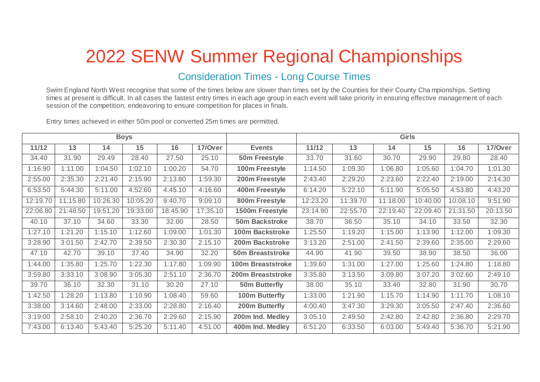## 2022 SENW Summer Regional Championships

## Consideration Times - Long Course Times

Swim England North West recognise that some of the times below are slower than times set by the Counties for their County Cha mpionships. Setting times at present is difficult. In all cases the fastest entry times in each age group in each event will take priority in ensuring effective management of each session of the competition, endeavoring to ensure competition for places in finals.

Entry times achieved in either 50m pool or converted 25m times are permitted.

| <b>Boys</b> |          |          |          |          |          |                         | <b>Girls</b> |          |          |          |          |          |
|-------------|----------|----------|----------|----------|----------|-------------------------|--------------|----------|----------|----------|----------|----------|
| 11/12       | 13       | 14       | 15       | 16       | 17/Over  | <b>Events</b>           | 11/12        | 13       | 14       | 15       | 16       | 17/Over  |
| 34.40       | 31.90    | 29.49    | 28.40    | 27.50    | 25.10    | 50m Freestyle           | 33.70        | 31.60    | 30.70    | 29.90    | 29.80    | 28.40    |
| 1:16.90     | 1:11.00  | 1:04.50  | 1:02.10  | 1:00.20  | 54.70    | 100m Freestyle          | 1:14.50      | 1:09.30  | 1:06.80  | 1:05.60  | 1:04.70  | 1:01.30  |
| 2:55.00     | 2:35.30  | 2:21.40  | 2:15.90  | 2:13.80  | 1:59.30  | 200m Freestyle          | 2:43.40      | 2:29.20  | 2:23.60  | 2:22.40  | 2:19.00  | 2:14.30  |
| 6:53.50     | 5:44.30  | 5:11.00  | 4:52.60  | 4:45.10  | 4:16.60  | 400m Freestyle          | 6:14.20      | 5:22.10  | 5:11.90  | 5:05.50  | 4:53.80  | 4:43.20  |
| 12:19.70    | 11:15.80 | 10:26.30 | 10:05.20 | 9:40.70  | 9:09.10  | 800m Freestyle          | 12:23.20     | 11:39.70 | 11:18.00 | 10:40.00 | 10:08.10 | 9:51.90  |
| 22:06.80    | 21:48.50 | 19:51.20 | 19:33.00 | 18:45.90 | 17:35.10 | 1500m Freestyle         | 23:14.90     | 22:55.70 | 22:19.40 | 22:09.40 | 21:31.50 | 20:13.50 |
| 40.10       | 37.10    | 34.60    | 33.30    | 32.00    | 28.50    | 50m Backstroke          | 38.70        | 36.50    | 35.10    | 34.10    | 33.50    | 32.30    |
| 1:27.10     | 1:21.20  | 1:15.10  | 1:12.60  | 1:09.00  | 1:01.30  | <b>100m Backstroke</b>  | 1:25.50      | 1:19.20  | 1:15.00  | 1:13.90  | 1:12.00  | 1:09.30  |
| 3:28.90     | 3:01.50  | 2:42.70  | 2:39.50  | 2:30.30  | 2:15.10  | 200m Backstroke         | 3:13.20      | 2:51.00  | 2:41.50  | 2:39.60  | 2:35.00  | 2:29.60  |
| 47.10       | 42.70    | 39.10    | 37.40    | 34.90    | 32.20    | <b>50m Breaststroke</b> | 44.90        | 41.90    | 39.50    | 38.90    | 38.50    | 36.00    |
| 1:44.00     | 1:35.80  | 1:25.70  | 1:22.30  | 1:17.80  | 1:09.90  | 100m Breaststroke       | 1:39.60      | 1:31.00  | 1:27.00  | 1:25.60  | 1:24.80  | 1:18.80  |
| 3:59.80     | 3:33.10  | 3:08.90  | 3:05.30  | 2:51.10  | 2:36.70  | 200m Breaststroke       | 3:35.80      | 3:13.50  | 3:09.80  | 3:07.20  | 3:02.60  | 2:49.10  |
| 39.70       | 36.10    | 32.30    | 31.10    | 30.20    | 27.10    | <b>50m Butterfly</b>    | 38.00        | 35.10    | 33.40    | 32.80    | 31.90    | 30.70    |
| 1:42.50     | 1:28.20  | 1:13.80  | 1:10.90  | 1:08.40  | 59.60    | 100m Butterfly          | 1:33.00      | 1:21.90  | 1:15.70  | 1:14.90  | 1:11.70  | 1:08.10  |
| 3:38.00     | 3:14.60  | 2:48.00  | 2:33.00  | 2:28.80  | 2:16.40  | 200m Butterfly          | 4:00.40      | 3:47.30  | 3:29.30  | 3:05.50  | 2:47.40  | 2:36.60  |
| 3:19.00     | 2:58.10  | 2:40.20  | 2:36.70  | 2:29.60  | 2:15.90  | 200m Ind. Medley        | 3:05.10      | 2:49.50  | 2:42.80  | 2:42.80  | 2:36.80  | 2:29.70  |
| 7:43.00     | 6:13.40  | 5:43.40  | 5:25.20  | 5:11.40  | 4:51.00  | 400m Ind. Medley        | 6:51.20      | 6:33.50  | 6:03.00  | 5:49.40  | 5:36.70  | 5:21.90  |